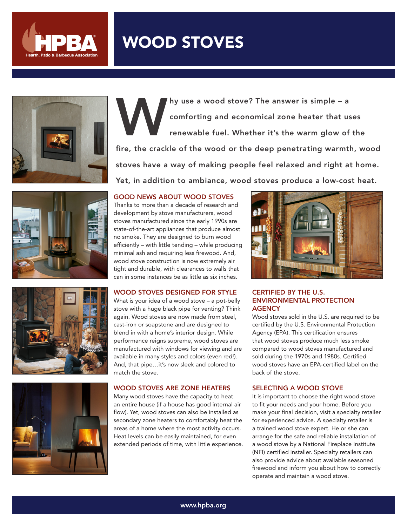

# WOOD STOVES









Why use a wood stove? The answer is simple – a<br>comforting and economical zone heater that us<br>renewable fuel. Whether it's the warm glow of comforting and economical zone heater that uses renewable fuel. Whether it's the warm glow of the fire, the crackle of the wood or the deep penetrating warmth, wood stoves have a way of making people feel relaxed and right at home. Yet, in addition to ambiance, wood stoves produce a low-cost heat.

#### GOOD NEWS ABOUT WOOD STOVES

Thanks to more than a decade of research and development by stove manufacturers, wood stoves manufactured since the early 1990s are state-of-the-art appliances that produce almost no smoke. They are designed to burn wood efficiently – with little tending – while producing minimal ash and requiring less firewood. And, wood stove construction is now extremely air tight and durable, with clearances to walls that can in some instances be as little as six inches.

### WOOD STOVES DESIGNED FOR STYLE

What is your idea of a wood stove – a pot-belly stove with a huge black pipe for venting? Think again. Wood stoves are now made from steel, cast-iron or soapstone and are designed to blend in with a home's interior design. While performance reigns supreme, wood stoves are manufactured with windows for viewing and are available in many styles and colors (even red!). And, that pipe…it's now sleek and colored to match the stove.

#### WOOD STOVES ARE ZONE HEATERS

Many wood stoves have the capacity to heat an entire house (if a house has good internal air flow). Yet, wood stoves can also be installed as secondary zone heaters to comfortably heat the areas of a home where the most activity occurs. Heat levels can be easily maintained, for even extended periods of time, with little experience.



### CERTIFIED BY THE U.S. ENVIRONMENTAL PROTECTION **AGENCY**

Wood stoves sold in the U.S. are required to be certified by the U.S. Environmental Protection Agency (EPA). This certification ensures that wood stoves produce much less smoke compared to wood stoves manufactured and sold during the 1970s and 1980s. Certified wood stoves have an EPA-certified label on the back of the stove.

#### SELECTING A WOOD STOVE

It is important to choose the right wood stove to fit your needs and your home. Before you make your final decision, visit a specialty retailer for experienced advice. A specialty retailer is a trained wood stove expert. He or she can arrange for the safe and reliable installation of a wood stove by a National Fireplace Institute (NFI) certified installer. Specialty retailers can also provide advice about available seasoned firewood and inform you about how to correctly operate and maintain a wood stove.